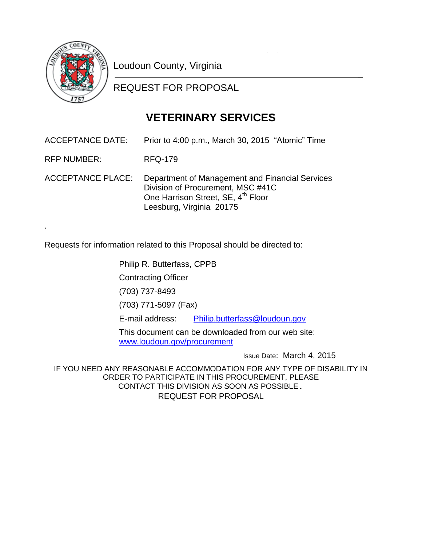

.

Loudoun County, Virginia

REQUEST FOR PROPOSAL

## **VETERINARY SERVICES**

ACCEPTANCE DATE: Prior to 4:00 p.m., March 30, 2015 "Atomic" Time

RFP NUMBER: RFQ-179

ACCEPTANCE PLACE: Department of Management and Financial Services Division of Procurement, MSC #41C One Harrison Street, SE, 4<sup>th</sup> Floor Leesburg, Virginia 20175

Requests for information related to this Proposal should be directed to:

Philip R. Butterfass, CPPB

Contracting Officer

(703) 737-8493

(703) 771-5097 (Fax)

E-mail address: [Philip.butterfass@loudoun.gov](mailto:Philip.butterfass@loudoun.gov)

This document can be downloaded from our web site: [www.loudoun.gov/procurement](http://www.loudoun.gov/procurement)

Issue Date: March 4, 2015

IF YOU NEED ANY REASONABLE ACCOMMODATION FOR ANY TYPE OF DISABILITY IN ORDER TO PARTICIPATE IN THIS PROCUREMENT, PLEASE CONTACT THIS DIVISION AS SOON AS POSSIBLE. REQUEST FOR PROPOSAL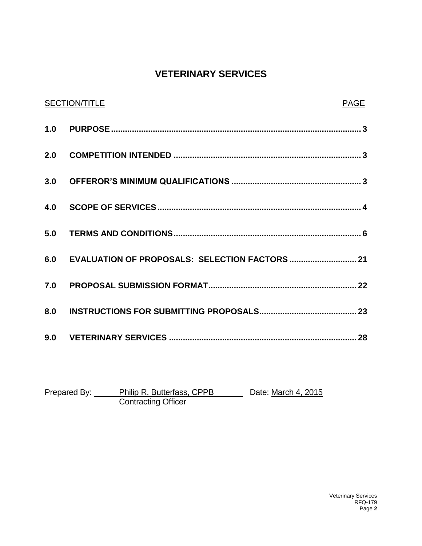### **VETERINARY SERVICES**

| <b>SECTION/TITLE</b>                           | PAGE |
|------------------------------------------------|------|
|                                                |      |
|                                                |      |
|                                                |      |
|                                                |      |
|                                                |      |
| 6.0 EVALUATION OF PROPOSALS: SELECTION FACTORS |      |
|                                                |      |
|                                                |      |
|                                                |      |

Prepared By: Philip R. Butterfass, CPPB Date: March 4, 2015 Contracting Officer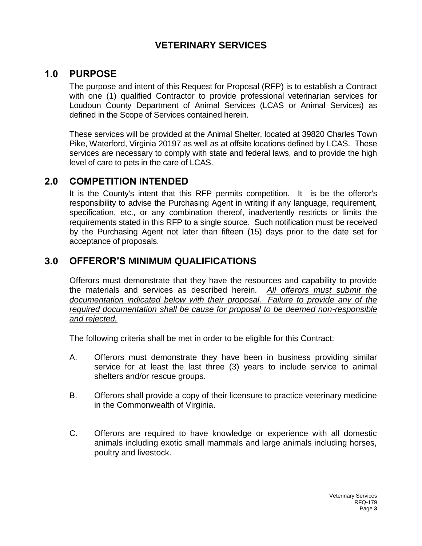### **VETERINARY SERVICES**

### **1.0 PURPOSE**

The purpose and intent of this Request for Proposal (RFP) is to establish a Contract with one (1) qualified Contractor to provide professional veterinarian services for Loudoun County Department of Animal Services (LCAS or Animal Services) as defined in the Scope of Services contained herein.

These services will be provided at the Animal Shelter, located at 39820 Charles Town Pike, Waterford, Virginia 20197 as well as at offsite locations defined by LCAS. These services are necessary to comply with state and federal laws, and to provide the high level of care to pets in the care of LCAS.

### **2.0 COMPETITION INTENDED**

It is the County's intent that this RFP permits competition. It is be the offeror's responsibility to advise the Purchasing Agent in writing if any language, requirement, specification, etc., or any combination thereof, inadvertently restricts or limits the requirements stated in this RFP to a single source. Such notification must be received by the Purchasing Agent not later than fifteen (15) days prior to the date set for acceptance of proposals.

### **3.0 OFFEROR'S MINIMUM QUALIFICATIONS**

Offerors must demonstrate that they have the resources and capability to provide the materials and services as described herein*. All offerors must submit the documentation indicated below with their proposal. Failure to provide any of the required documentation shall be cause for proposal to be deemed non-responsible and rejected.*

The following criteria shall be met in order to be eligible for this Contract:

- A. Offerors must demonstrate they have been in business providing similar service for at least the last three (3) years to include service to animal shelters and/or rescue groups.
- B. Offerors shall provide a copy of their licensure to practice veterinary medicine in the Commonwealth of Virginia.
- C. Offerors are required to have knowledge or experience with all domestic animals including exotic small mammals and large animals including horses, poultry and livestock.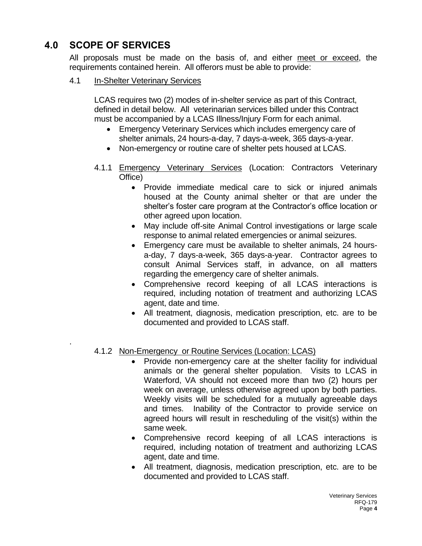### **4.0 SCOPE OF SERVICES**

.

All proposals must be made on the basis of, and either meet or exceed, the requirements contained herein. All offerors must be able to provide:

4.1 In-Shelter Veterinary Services

LCAS requires two (2) modes of in-shelter service as part of this Contract, defined in detail below. All veterinarian services billed under this Contract must be accompanied by a LCAS Illness/Injury Form for each animal.

- Emergency Veterinary Services which includes emergency care of shelter animals, 24 hours-a-day, 7 days-a-week, 365 days-a-year.
- Non-emergency or routine care of shelter pets housed at LCAS.
- 4.1.1 Emergency Veterinary Services (Location: Contractors Veterinary Office)
	- Provide immediate medical care to sick or injured animals housed at the County animal shelter or that are under the shelter's foster care program at the Contractor's office location or other agreed upon location.
	- May include off-site Animal Control investigations or large scale response to animal related emergencies or animal seizures.
	- Emergency care must be available to shelter animals, 24 hoursa-day, 7 days-a-week, 365 days-a-year. Contractor agrees to consult Animal Services staff, in advance, on all matters regarding the emergency care of shelter animals.
	- Comprehensive record keeping of all LCAS interactions is required, including notation of treatment and authorizing LCAS agent, date and time.
	- All treatment, diagnosis, medication prescription, etc. are to be documented and provided to LCAS staff.
- 4.1.2 Non-Emergency or Routine Services (Location: LCAS)
	- Provide non-emergency care at the shelter facility for individual animals or the general shelter population. Visits to LCAS in Waterford, VA should not exceed more than two (2) hours per week on average, unless otherwise agreed upon by both parties. Weekly visits will be scheduled for a mutually agreeable days and times. Inability of the Contractor to provide service on agreed hours will result in rescheduling of the visit(s) within the same week.
	- Comprehensive record keeping of all LCAS interactions is required, including notation of treatment and authorizing LCAS agent, date and time.
	- All treatment, diagnosis, medication prescription, etc. are to be documented and provided to LCAS staff.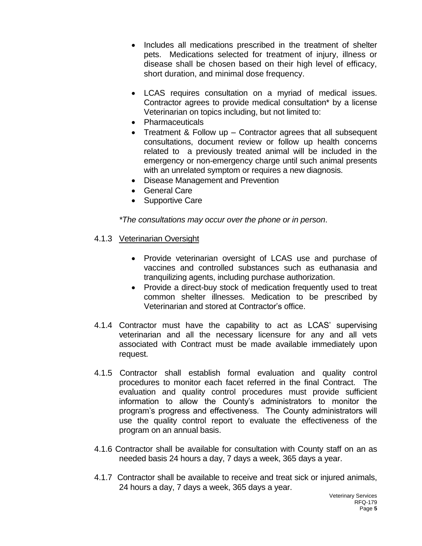- Includes all medications prescribed in the treatment of shelter pets. Medications selected for treatment of injury, illness or disease shall be chosen based on their high level of efficacy, short duration, and minimal dose frequency.
- LCAS requires consultation on a myriad of medical issues. Contractor agrees to provide medical consultation\* by a license Veterinarian on topics including, but not limited to:
- Pharmaceuticals
- Treatment & Follow up Contractor agrees that all subsequent consultations, document review or follow up health concerns related to a previously treated animal will be included in the emergency or non-emergency charge until such animal presents with an unrelated symptom or requires a new diagnosis.
- Disease Management and Prevention
- General Care
- Supportive Care

*\*The consultations may occur over the phone or in person*.

- 4.1.3 Veterinarian Oversight
	- Provide veterinarian oversight of LCAS use and purchase of vaccines and controlled substances such as euthanasia and tranquilizing agents, including purchase authorization.
	- Provide a direct-buy stock of medication frequently used to treat common shelter illnesses. Medication to be prescribed by Veterinarian and stored at Contractor's office.
- 4.1.4 Contractor must have the capability to act as LCAS' supervising veterinarian and all the necessary licensure for any and all vets associated with Contract must be made available immediately upon request.
- 4.1.5 Contractor shall establish formal evaluation and quality control procedures to monitor each facet referred in the final Contract. The evaluation and quality control procedures must provide sufficient information to allow the County's administrators to monitor the program's progress and effectiveness. The County administrators will use the quality control report to evaluate the effectiveness of the program on an annual basis.
- 4.1.6 Contractor shall be available for consultation with County staff on an as needed basis 24 hours a day, 7 days a week, 365 days a year.
- 4.1.7 Contractor shall be available to receive and treat sick or injured animals, 24 hours a day, 7 days a week, 365 days a year.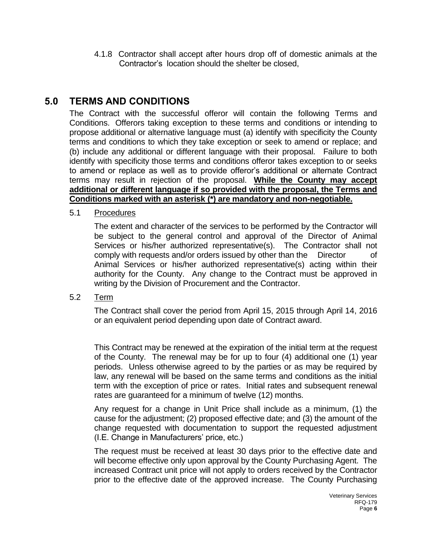4.1.8 Contractor shall accept after hours drop off of domestic animals at the Contractor's location should the shelter be closed,

### **5.0 TERMS AND CONDITIONS**

The Contract with the successful offeror will contain the following Terms and Conditions. Offerors taking exception to these terms and conditions or intending to propose additional or alternative language must (a) identify with specificity the County terms and conditions to which they take exception or seek to amend or replace; and (b) include any additional or different language with their proposal. Failure to both identify with specificity those terms and conditions offeror takes exception to or seeks to amend or replace as well as to provide offeror's additional or alternate Contract terms may result in rejection of the proposal. **While the County may accept additional or different language if so provided with the proposal, the Terms and Conditions marked with an asterisk (\*) are mandatory and non-negotiable.**

5.1 Procedures

The extent and character of the services to be performed by the Contractor will be subject to the general control and approval of the Director of Animal Services or his/her authorized representative(s). The Contractor shall not comply with requests and/or orders issued by other than the Director of Animal Services or his/her authorized representative(s) acting within their authority for the County. Any change to the Contract must be approved in writing by the Division of Procurement and the Contractor.

5.2 Term

The Contract shall cover the period from April 15, 2015 through April 14, 2016 or an equivalent period depending upon date of Contract award.

This Contract may be renewed at the expiration of the initial term at the request of the County. The renewal may be for up to four (4) additional one (1) year periods. Unless otherwise agreed to by the parties or as may be required by law, any renewal will be based on the same terms and conditions as the initial term with the exception of price or rates. Initial rates and subsequent renewal rates are guaranteed for a minimum of twelve (12) months.

Any request for a change in Unit Price shall include as a minimum, (1) the cause for the adjustment; (2) proposed effective date; and (3) the amount of the change requested with documentation to support the requested adjustment (I.E. Change in Manufacturers' price, etc.)

The request must be received at least 30 days prior to the effective date and will become effective only upon approval by the County Purchasing Agent. The increased Contract unit price will not apply to orders received by the Contractor prior to the effective date of the approved increase. The County Purchasing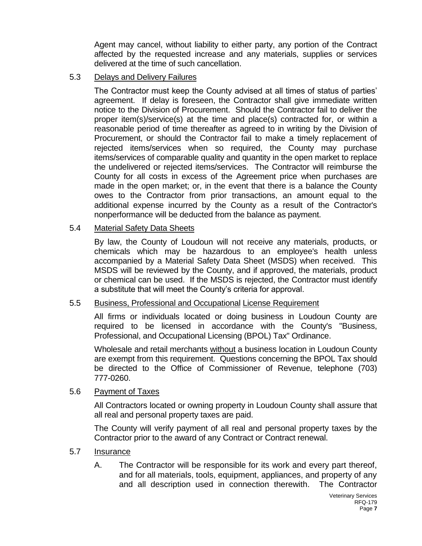Agent may cancel, without liability to either party, any portion of the Contract affected by the requested increase and any materials, supplies or services delivered at the time of such cancellation.

### 5.3 Delays and Delivery Failures

The Contractor must keep the County advised at all times of status of parties' agreement. If delay is foreseen, the Contractor shall give immediate written notice to the Division of Procurement. Should the Contractor fail to deliver the proper item(s)/service(s) at the time and place(s) contracted for, or within a reasonable period of time thereafter as agreed to in writing by the Division of Procurement, or should the Contractor fail to make a timely replacement of rejected items/services when so required, the County may purchase items/services of comparable quality and quantity in the open market to replace the undelivered or rejected items/services. The Contractor will reimburse the County for all costs in excess of the Agreement price when purchases are made in the open market; or, in the event that there is a balance the County owes to the Contractor from prior transactions, an amount equal to the additional expense incurred by the County as a result of the Contractor's nonperformance will be deducted from the balance as payment.

### 5.4 Material Safety Data Sheets

By law, the County of Loudoun will not receive any materials, products, or chemicals which may be hazardous to an employee's health unless accompanied by a Material Safety Data Sheet (MSDS) when received. This MSDS will be reviewed by the County, and if approved, the materials, product or chemical can be used. If the MSDS is rejected, the Contractor must identify a substitute that will meet the County's criteria for approval.

### 5.5 Business, Professional and Occupational License Requirement

All firms or individuals located or doing business in Loudoun County are required to be licensed in accordance with the County's "Business, Professional, and Occupational Licensing (BPOL) Tax" Ordinance.

Wholesale and retail merchants without a business location in Loudoun County are exempt from this requirement. Questions concerning the BPOL Tax should be directed to the Office of Commissioner of Revenue, telephone (703) 777-0260.

### 5.6 Payment of Taxes

All Contractors located or owning property in Loudoun County shall assure that all real and personal property taxes are paid.

The County will verify payment of all real and personal property taxes by the Contractor prior to the award of any Contract or Contract renewal.

### 5.7 Insurance

A. The Contractor will be responsible for its work and every part thereof, and for all materials, tools, equipment, appliances, and property of any and all description used in connection therewith. The Contractor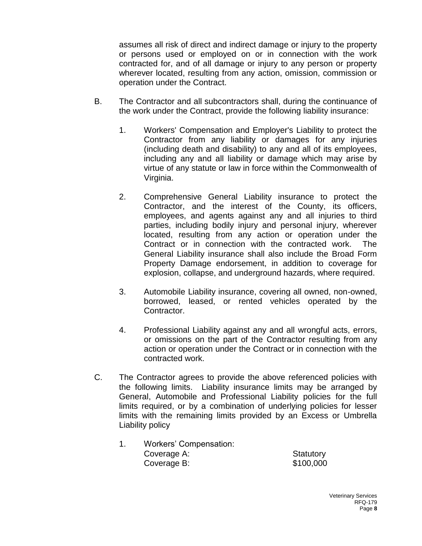assumes all risk of direct and indirect damage or injury to the property or persons used or employed on or in connection with the work contracted for, and of all damage or injury to any person or property wherever located, resulting from any action, omission, commission or operation under the Contract.

- B. The Contractor and all subcontractors shall, during the continuance of the work under the Contract, provide the following liability insurance:
	- 1. Workers' Compensation and Employer's Liability to protect the Contractor from any liability or damages for any injuries (including death and disability) to any and all of its employees, including any and all liability or damage which may arise by virtue of any statute or law in force within the Commonwealth of Virginia.
	- 2. Comprehensive General Liability insurance to protect the Contractor, and the interest of the County, its officers, employees, and agents against any and all injuries to third parties, including bodily injury and personal injury, wherever located, resulting from any action or operation under the Contract or in connection with the contracted work. The General Liability insurance shall also include the Broad Form Property Damage endorsement, in addition to coverage for explosion, collapse, and underground hazards, where required.
	- 3. Automobile Liability insurance, covering all owned, non-owned, borrowed, leased, or rented vehicles operated by the Contractor.
	- 4. Professional Liability against any and all wrongful acts, errors, or omissions on the part of the Contractor resulting from any action or operation under the Contract or in connection with the contracted work.
- C. The Contractor agrees to provide the above referenced policies with the following limits. Liability insurance limits may be arranged by General, Automobile and Professional Liability policies for the full limits required, or by a combination of underlying policies for lesser limits with the remaining limits provided by an Excess or Umbrella Liability policy
	- 1. Workers' Compensation: Coverage A: Statutory **Coverage B:**  $$100,000$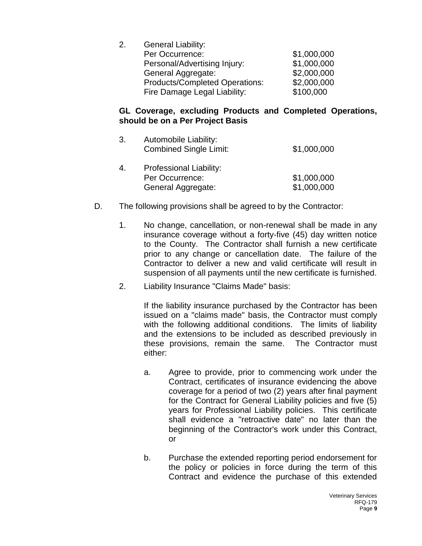| <b>General Liability:</b>             |             |
|---------------------------------------|-------------|
| Per Occurrence:                       | \$1,000,000 |
| Personal/Advertising Injury:          | \$1,000,000 |
| <b>General Aggregate:</b>             | \$2,000,000 |
| <b>Products/Completed Operations:</b> | \$2,000,000 |
| Fire Damage Legal Liability:          | \$100,000   |
|                                       |             |

### **GL Coverage, excluding Products and Completed Operations, should be on a Per Project Basis**

| 3. | Automobile Liability:<br><b>Combined Single Limit:</b> | \$1,000,000 |
|----|--------------------------------------------------------|-------------|
| 4. | Professional Liability:                                |             |
|    | Per Occurrence:                                        | \$1,000,000 |
|    | <b>General Aggregate:</b>                              | \$1,000,000 |

- D. The following provisions shall be agreed to by the Contractor:
	- 1. No change, cancellation, or non-renewal shall be made in any insurance coverage without a forty-five (45) day written notice to the County. The Contractor shall furnish a new certificate prior to any change or cancellation date. The failure of the Contractor to deliver a new and valid certificate will result in suspension of all payments until the new certificate is furnished.
	- 2. Liability Insurance "Claims Made" basis:

If the liability insurance purchased by the Contractor has been issued on a "claims made" basis, the Contractor must comply with the following additional conditions. The limits of liability and the extensions to be included as described previously in these provisions, remain the same. The Contractor must either:

- a. Agree to provide, prior to commencing work under the Contract, certificates of insurance evidencing the above coverage for a period of two (2) years after final payment for the Contract for General Liability policies and five (5) years for Professional Liability policies. This certificate shall evidence a "retroactive date" no later than the beginning of the Contractor's work under this Contract, or
- b. Purchase the extended reporting period endorsement for the policy or policies in force during the term of this Contract and evidence the purchase of this extended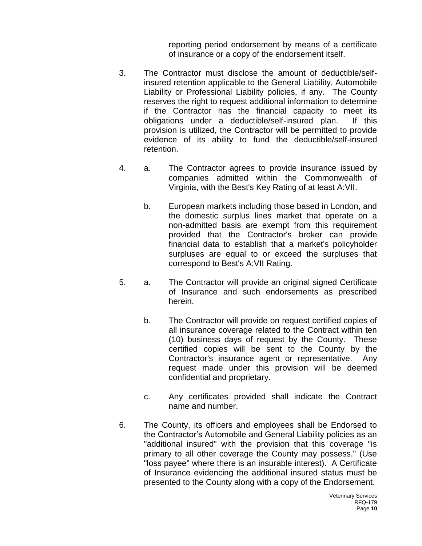reporting period endorsement by means of a certificate of insurance or a copy of the endorsement itself.

- 3. The Contractor must disclose the amount of deductible/selfinsured retention applicable to the General Liability, Automobile Liability or Professional Liability policies, if any. The County reserves the right to request additional information to determine if the Contractor has the financial capacity to meet its obligations under a deductible/self-insured plan. If this provision is utilized, the Contractor will be permitted to provide evidence of its ability to fund the deductible/self-insured retention.
- 4. a. The Contractor agrees to provide insurance issued by companies admitted within the Commonwealth of Virginia, with the Best's Key Rating of at least A:VII.
	- b. European markets including those based in London, and the domestic surplus lines market that operate on a non-admitted basis are exempt from this requirement provided that the Contractor's broker can provide financial data to establish that a market's policyholder surpluses are equal to or exceed the surpluses that correspond to Best's A:VII Rating.
- 5. a. The Contractor will provide an original signed Certificate of Insurance and such endorsements as prescribed herein.
	- b. The Contractor will provide on request certified copies of all insurance coverage related to the Contract within ten (10) business days of request by the County. These certified copies will be sent to the County by the Contractor's insurance agent or representative. Any request made under this provision will be deemed confidential and proprietary.
	- c. Any certificates provided shall indicate the Contract name and number.
- 6. The County, its officers and employees shall be Endorsed to the Contractor's Automobile and General Liability policies as an "additional insured" with the provision that this coverage "is primary to all other coverage the County may possess." (Use "loss payee" where there is an insurable interest). A Certificate of Insurance evidencing the additional insured status must be presented to the County along with a copy of the Endorsement.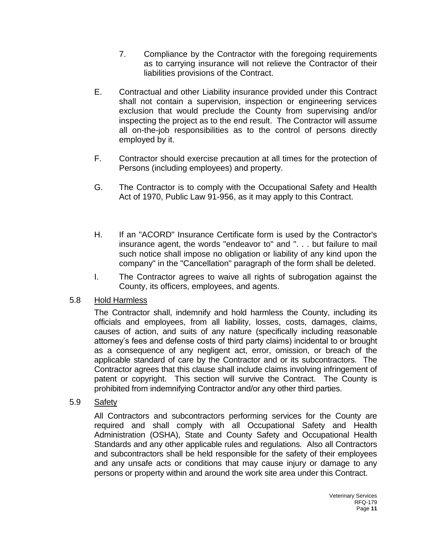- 7. Compliance by the Contractor with the foregoing requirements as to carrying insurance will not relieve the Contractor of their liabilities provisions of the Contract.
- E. Contractual and other Liability insurance provided under this Contract shall not contain a supervision, inspection or engineering services exclusion that would preclude the County from supervising and/or inspecting the project as to the end result. The Contractor will assume all on-the-job responsibilities as to the control of persons directly employed by it.
- F. Contractor should exercise precaution at all times for the protection of Persons (including employees) and property.
- G. The Contractor is to comply with the Occupational Safety and Health Act of 1970, Public Law 91-956, as it may apply to this Contract.
- H. If an "ACORD" Insurance Certificate form is used by the Contractor's insurance agent, the words "endeavor to" and ". . . but failure to mail such notice shall impose no obligation or liability of any kind upon the company" in the "Cancellation" paragraph of the form shall be deleted.
- I. The Contractor agrees to waive all rights of subrogation against the County, its officers, employees, and agents.

### 5.8 Hold Harmless

The Contractor shall, indemnify and hold harmless the County, including its officials and employees, from all liability, losses, costs, damages, claims, causes of action, and suits of any nature (specifically including reasonable attorney's fees and defense costs of third party claims) incidental to or brought as a consequence of any negligent act, error, omission, or breach of the applicable standard of care by the Contractor and or its subcontractors. The Contractor agrees that this clause shall include claims involving infringement of patent or copyright. This section will survive the Contract. The County is prohibited from indemnifying Contractor and/or any other third parties.

### 5.9 Safety

All Contractors and subcontractors performing services for the County are required and shall comply with all Occupational Safety and Health Administration (OSHA), State and County Safety and Occupational Health Standards and any other applicable rules and regulations. Also all Contractors and subcontractors shall be held responsible for the safety of their employees and any unsafe acts or conditions that may cause injury or damage to any persons or property within and around the work site area under this Contract.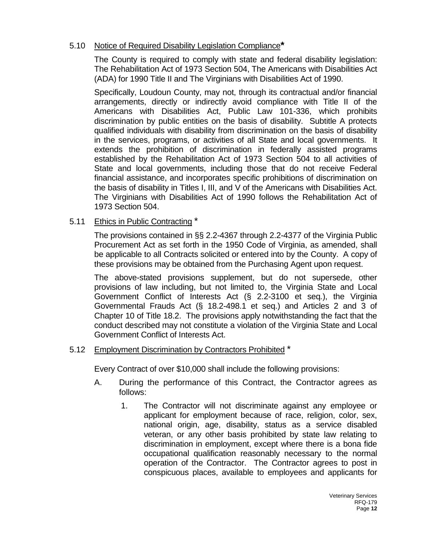### 5.10 Notice of Required Disability Legislation Compliance**\***

The County is required to comply with state and federal disability legislation: The Rehabilitation Act of 1973 Section 504, The Americans with Disabilities Act (ADA) for 1990 Title II and The Virginians with Disabilities Act of 1990.

Specifically, Loudoun County, may not, through its contractual and/or financial arrangements, directly or indirectly avoid compliance with Title II of the Americans with Disabilities Act, Public Law 101-336, which prohibits discrimination by public entities on the basis of disability. Subtitle A protects qualified individuals with disability from discrimination on the basis of disability in the services, programs, or activities of all State and local governments. It extends the prohibition of discrimination in federally assisted programs established by the Rehabilitation Act of 1973 Section 504 to all activities of State and local governments, including those that do not receive Federal financial assistance, and incorporates specific prohibitions of discrimination on the basis of disability in Titles I, III, and V of the Americans with Disabilities Act. The Virginians with Disabilities Act of 1990 follows the Rehabilitation Act of 1973 Section 504.

### 5.11 Ethics in Public Contracting \*

The provisions contained in §§ 2.2-4367 through 2.2-4377 of the Virginia Public Procurement Act as set forth in the 1950 Code of Virginia, as amended, shall be applicable to all Contracts solicited or entered into by the County. A copy of these provisions may be obtained from the Purchasing Agent upon request.

The above-stated provisions supplement, but do not supersede, other provisions of law including, but not limited to, the Virginia State and Local Government Conflict of Interests Act (§ 2.2-3100 et seq*.*), the Virginia Governmental Frauds Act (§ 18.2-498.1 et seq.) and Articles 2 and 3 of Chapter 10 of Title 18.2. The provisions apply notwithstanding the fact that the conduct described may not constitute a violation of the Virginia State and Local Government Conflict of Interests Act.

### 5.12 Employment Discrimination by Contractors Prohibited \*

Every Contract of over \$10,000 shall include the following provisions:

- A. During the performance of this Contract, the Contractor agrees as follows:
	- 1. The Contractor will not discriminate against any employee or applicant for employment because of race, religion, color, sex, national origin, age, disability, status as a service disabled veteran, or any other basis prohibited by state law relating to discrimination in employment, except where there is a bona fide occupational qualification reasonably necessary to the normal operation of the Contractor. The Contractor agrees to post in conspicuous places, available to employees and applicants for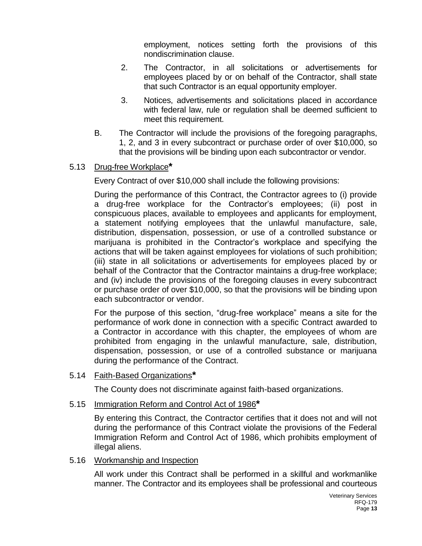employment, notices setting forth the provisions of this nondiscrimination clause.

- 2. The Contractor, in all solicitations or advertisements for employees placed by or on behalf of the Contractor, shall state that such Contractor is an equal opportunity employer.
- 3. Notices, advertisements and solicitations placed in accordance with federal law, rule or regulation shall be deemed sufficient to meet this requirement.
- B. The Contractor will include the provisions of the foregoing paragraphs, 1, 2, and 3 in every subcontract or purchase order of over \$10,000, so that the provisions will be binding upon each subcontractor or vendor.

### 5.13 Drug-free Workplace**\***

Every Contract of over \$10,000 shall include the following provisions:

During the performance of this Contract, the Contractor agrees to (i) provide a drug-free workplace for the Contractor's employees; (ii) post in conspicuous places, available to employees and applicants for employment, a statement notifying employees that the unlawful manufacture, sale, distribution, dispensation, possession, or use of a controlled substance or marijuana is prohibited in the Contractor's workplace and specifying the actions that will be taken against employees for violations of such prohibition; (iii) state in all solicitations or advertisements for employees placed by or behalf of the Contractor that the Contractor maintains a drug-free workplace; and (iv) include the provisions of the foregoing clauses in every subcontract or purchase order of over \$10,000, so that the provisions will be binding upon each subcontractor or vendor.

For the purpose of this section, "drug-free workplace" means a site for the performance of work done in connection with a specific Contract awarded to a Contractor in accordance with this chapter, the employees of whom are prohibited from engaging in the unlawful manufacture, sale, distribution, dispensation, possession, or use of a controlled substance or marijuana during the performance of the Contract.

5.14 Faith-Based Organizations**\***

The County does not discriminate against faith-based organizations.

### 5.15 Immigration Reform and Control Act of 1986**\***

By entering this Contract, the Contractor certifies that it does not and will not during the performance of this Contract violate the provisions of the Federal Immigration Reform and Control Act of 1986, which prohibits employment of illegal aliens.

### 5.16 Workmanship and Inspection

All work under this Contract shall be performed in a skillful and workmanlike manner. The Contractor and its employees shall be professional and courteous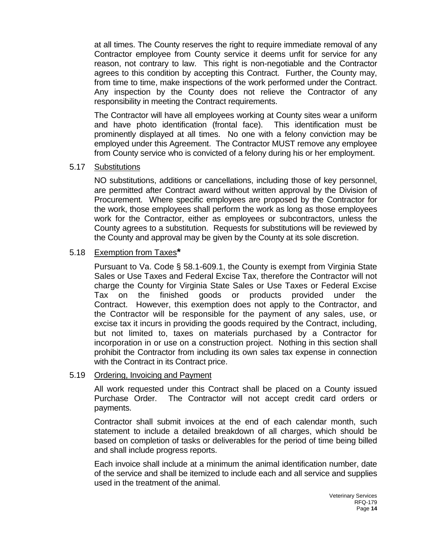at all times. The County reserves the right to require immediate removal of any Contractor employee from County service it deems unfit for service for any reason, not contrary to law. This right is non-negotiable and the Contractor agrees to this condition by accepting this Contract. Further, the County may, from time to time, make inspections of the work performed under the Contract. Any inspection by the County does not relieve the Contractor of any responsibility in meeting the Contract requirements.

The Contractor will have all employees working at County sites wear a uniform and have photo identification (frontal face). This identification must be prominently displayed at all times. No one with a felony conviction may be employed under this Agreement. The Contractor MUST remove any employee from County service who is convicted of a felony during his or her employment.

### 5.17 Substitutions

NO substitutions, additions or cancellations, including those of key personnel, are permitted after Contract award without written approval by the Division of Procurement. Where specific employees are proposed by the Contractor for the work, those employees shall perform the work as long as those employees work for the Contractor, either as employees or subcontractors, unless the County agrees to a substitution. Requests for substitutions will be reviewed by the County and approval may be given by the County at its sole discretion.

### 5.18 Exemption from Taxes**\***

Pursuant to Va. Code § 58.1-609.1, the County is exempt from Virginia State Sales or Use Taxes and Federal Excise Tax, therefore the Contractor will not charge the County for Virginia State Sales or Use Taxes or Federal Excise Tax on the finished goods or products provided under the Contract. However, this exemption does not apply to the Contractor, and the Contractor will be responsible for the payment of any sales, use, or excise tax it incurs in providing the goods required by the Contract, including, but not limited to, taxes on materials purchased by a Contractor for incorporation in or use on a construction project. Nothing in this section shall prohibit the Contractor from including its own sales tax expense in connection with the Contract in its Contract price.

### 5.19 Ordering, Invoicing and Payment

All work requested under this Contract shall be placed on a County issued Purchase Order. The Contractor will not accept credit card orders or payments.

Contractor shall submit invoices at the end of each calendar month, such statement to include a detailed breakdown of all charges, which should be based on completion of tasks or deliverables for the period of time being billed and shall include progress reports.

Each invoice shall include at a minimum the animal identification number, date of the service and shall be itemized to include each and all service and supplies used in the treatment of the animal.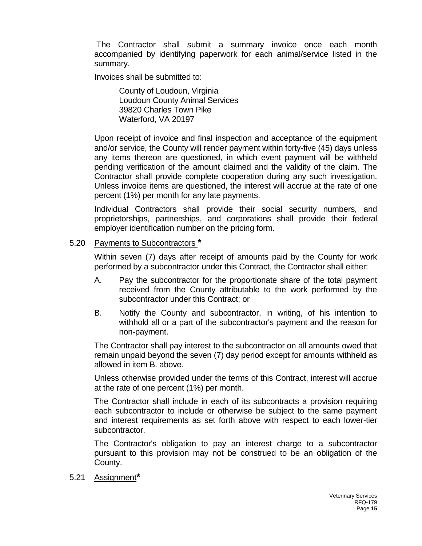The Contractor shall submit a summary invoice once each month accompanied by identifying paperwork for each animal/service listed in the summary.

Invoices shall be submitted to:

County of Loudoun, Virginia Loudoun County Animal Services 39820 Charles Town Pike Waterford, VA 20197

Upon receipt of invoice and final inspection and acceptance of the equipment and/or service, the County will render payment within forty-five (45) days unless any items thereon are questioned, in which event payment will be withheld pending verification of the amount claimed and the validity of the claim. The Contractor shall provide complete cooperation during any such investigation. Unless invoice items are questioned, the interest will accrue at the rate of one percent (1%) per month for any late payments.

 Individual Contractors shall provide their social security numbers, and proprietorships, partnerships, and corporations shall provide their federal employer identification number on the pricing form.

### 5.20 Payments to Subcontractors **\***

Within seven (7) days after receipt of amounts paid by the County for work performed by a subcontractor under this Contract, the Contractor shall either:

- A. Pay the subcontractor for the proportionate share of the total payment received from the County attributable to the work performed by the subcontractor under this Contract; or
- B. Notify the County and subcontractor, in writing, of his intention to withhold all or a part of the subcontractor's payment and the reason for non-payment.

The Contractor shall pay interest to the subcontractor on all amounts owed that remain unpaid beyond the seven (7) day period except for amounts withheld as allowed in item B. above.

Unless otherwise provided under the terms of this Contract, interest will accrue at the rate of one percent (1%) per month.

The Contractor shall include in each of its subcontracts a provision requiring each subcontractor to include or otherwise be subject to the same payment and interest requirements as set forth above with respect to each lower-tier subcontractor.

The Contractor's obligation to pay an interest charge to a subcontractor pursuant to this provision may not be construed to be an obligation of the County.

5.21 Assignment**\***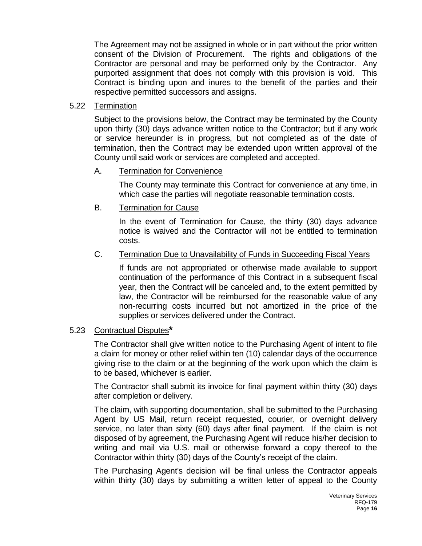The Agreement may not be assigned in whole or in part without the prior written consent of the Division of Procurement. The rights and obligations of the Contractor are personal and may be performed only by the Contractor. Any purported assignment that does not comply with this provision is void. This Contract is binding upon and inures to the benefit of the parties and their respective permitted successors and assigns.

### 5.22 Termination

Subject to the provisions below, the Contract may be terminated by the County upon thirty (30) days advance written notice to the Contractor; but if any work or service hereunder is in progress, but not completed as of the date of termination, then the Contract may be extended upon written approval of the County until said work or services are completed and accepted.

### A. Termination for Convenience

The County may terminate this Contract for convenience at any time, in which case the parties will negotiate reasonable termination costs.

### B. Termination for Cause

In the event of Termination for Cause, the thirty (30) days advance notice is waived and the Contractor will not be entitled to termination costs.

### C. Termination Due to Unavailability of Funds in Succeeding Fiscal Years

If funds are not appropriated or otherwise made available to support continuation of the performance of this Contract in a subsequent fiscal year, then the Contract will be canceled and, to the extent permitted by law, the Contractor will be reimbursed for the reasonable value of any non-recurring costs incurred but not amortized in the price of the supplies or services delivered under the Contract.

### 5.23 Contractual Disputes**\***

The Contractor shall give written notice to the Purchasing Agent of intent to file a claim for money or other relief within ten (10) calendar days of the occurrence giving rise to the claim or at the beginning of the work upon which the claim is to be based, whichever is earlier.

The Contractor shall submit its invoice for final payment within thirty (30) days after completion or delivery.

The claim, with supporting documentation, shall be submitted to the Purchasing Agent by US Mail, return receipt requested, courier, or overnight delivery service, no later than sixty (60) days after final payment. If the claim is not disposed of by agreement, the Purchasing Agent will reduce his/her decision to writing and mail via U.S. mail or otherwise forward a copy thereof to the Contractor within thirty (30) days of the County's receipt of the claim.

The Purchasing Agent's decision will be final unless the Contractor appeals within thirty (30) days by submitting a written letter of appeal to the County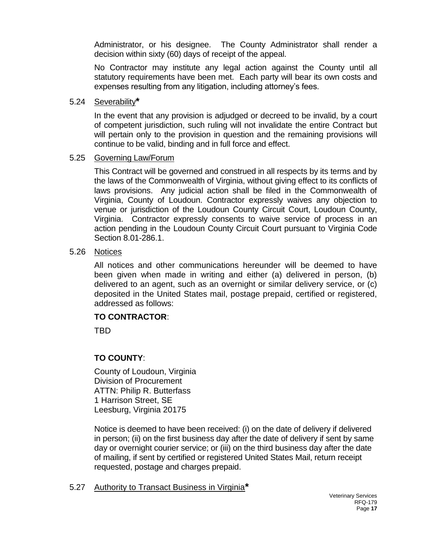Administrator, or his designee. The County Administrator shall render a decision within sixty (60) days of receipt of the appeal.

No Contractor may institute any legal action against the County until all statutory requirements have been met. Each party will bear its own costs and expenses resulting from any litigation, including attorney's fees.

### 5.24 Severability**\***

In the event that any provision is adjudged or decreed to be invalid, by a court of competent jurisdiction, such ruling will not invalidate the entire Contract but will pertain only to the provision in question and the remaining provisions will continue to be valid, binding and in full force and effect.

### 5.25 Governing Law/Forum

This Contract will be governed and construed in all respects by its terms and by the laws of the Commonwealth of Virginia, without giving effect to its conflicts of laws provisions. Any judicial action shall be filed in the Commonwealth of Virginia, County of Loudoun. Contractor expressly waives any objection to venue or jurisdiction of the Loudoun County Circuit Court, Loudoun County, Virginia. Contractor expressly consents to waive service of process in an action pending in the Loudoun County Circuit Court pursuant to Virginia Code Section 8.01-286.1.

### 5.26 Notices

All notices and other communications hereunder will be deemed to have been given when made in writing and either (a) delivered in person, (b) delivered to an agent, such as an overnight or similar delivery service, or (c) deposited in the United States mail, postage prepaid, certified or registered, addressed as follows:

### **TO CONTRACTOR**:

TBD

### **TO COUNTY**:

County of Loudoun, Virginia Division of Procurement ATTN: Philip R. Butterfass 1 Harrison Street, SE Leesburg, Virginia 20175

Notice is deemed to have been received: (i) on the date of delivery if delivered in person; (ii) on the first business day after the date of delivery if sent by same day or overnight courier service; or (iii) on the third business day after the date of mailing, if sent by certified or registered United States Mail, return receipt requested, postage and charges prepaid.

5.27 Authority to Transact Business in Virginia**\***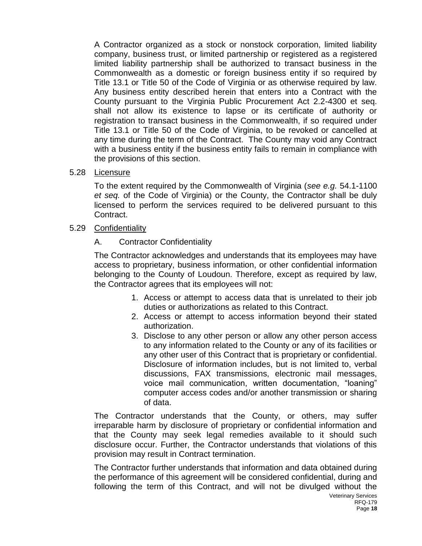A Contractor organized as a stock or nonstock corporation, limited liability company, business trust, or limited partnership or registered as a registered limited liability partnership shall be authorized to transact business in the Commonwealth as a domestic or foreign business entity if so required by Title 13.1 or Title 50 of the Code of Virginia or as otherwise required by law. Any business entity described herein that enters into a Contract with the County pursuant to the Virginia Public Procurement Act 2.2-4300 et seq. shall not allow its existence to lapse or its certificate of authority or registration to transact business in the Commonwealth, if so required under Title 13.1 or Title 50 of the Code of Virginia, to be revoked or cancelled at any time during the term of the Contract. The County may void any Contract with a business entity if the business entity fails to remain in compliance with the provisions of this section.

### 5.28 Licensure

To the extent required by the Commonwealth of Virginia (*see e.g.* 54.1-1100 *et seq.* of the Code of Virginia) or the County, the Contractor shall be duly licensed to perform the services required to be delivered pursuant to this Contract.

### 5.29 Confidentiality

A. Contractor Confidentiality

The Contractor acknowledges and understands that its employees may have access to proprietary, business information, or other confidential information belonging to the County of Loudoun. Therefore, except as required by law, the Contractor agrees that its employees will not:

- 1. Access or attempt to access data that is unrelated to their job duties or authorizations as related to this Contract.
- 2. Access or attempt to access information beyond their stated authorization.
- 3. Disclose to any other person or allow any other person access to any information related to the County or any of its facilities or any other user of this Contract that is proprietary or confidential. Disclosure of information includes, but is not limited to, verbal discussions, FAX transmissions, electronic mail messages, voice mail communication, written documentation, "loaning" computer access codes and/or another transmission or sharing of data.

The Contractor understands that the County, or others, may suffer irreparable harm by disclosure of proprietary or confidential information and that the County may seek legal remedies available to it should such disclosure occur. Further, the Contractor understands that violations of this provision may result in Contract termination.

The Contractor further understands that information and data obtained during the performance of this agreement will be considered confidential, during and following the term of this Contract, and will not be divulged without the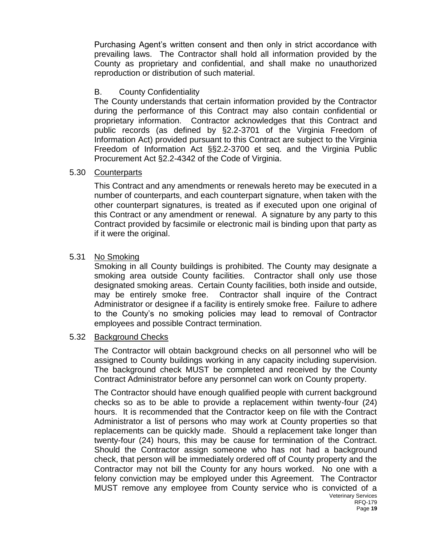Purchasing Agent's written consent and then only in strict accordance with prevailing laws. The Contractor shall hold all information provided by the County as proprietary and confidential, and shall make no unauthorized reproduction or distribution of such material.

### B. County Confidentiality

The County understands that certain information provided by the Contractor during the performance of this Contract may also contain confidential or proprietary information. Contractor acknowledges that this Contract and public records (as defined by §2.2-3701 of the Virginia Freedom of Information Act) provided pursuant to this Contract are subject to the Virginia Freedom of Information Act §§2.2-3700 et seq. and the Virginia Public Procurement Act §2.2-4342 of the Code of Virginia.

### 5.30 Counterparts

This Contract and any amendments or renewals hereto may be executed in a number of counterparts, and each counterpart signature, when taken with the other counterpart signatures, is treated as if executed upon one original of this Contract or any amendment or renewal. A signature by any party to this Contract provided by facsimile or electronic mail is binding upon that party as if it were the original.

### 5.31 No Smoking

Smoking in all County buildings is prohibited. The County may designate a smoking area outside County facilities. Contractor shall only use those designated smoking areas. Certain County facilities, both inside and outside, may be entirely smoke free. Contractor shall inquire of the Contract Administrator or designee if a facility is entirely smoke free. Failure to adhere to the County's no smoking policies may lead to removal of Contractor employees and possible Contract termination.

### 5.32 Background Checks

The Contractor will obtain background checks on all personnel who will be assigned to County buildings working in any capacity including supervision. The background check MUST be completed and received by the County Contract Administrator before any personnel can work on County property.

Veterinary Services The Contractor should have enough qualified people with current background checks so as to be able to provide a replacement within twenty-four (24) hours. It is recommended that the Contractor keep on file with the Contract Administrator a list of persons who may work at County properties so that replacements can be quickly made. Should a replacement take longer than twenty-four (24) hours, this may be cause for termination of the Contract. Should the Contractor assign someone who has not had a background check, that person will be immediately ordered off of County property and the Contractor may not bill the County for any hours worked. No one with a felony conviction may be employed under this Agreement. The Contractor MUST remove any employee from County service who is convicted of a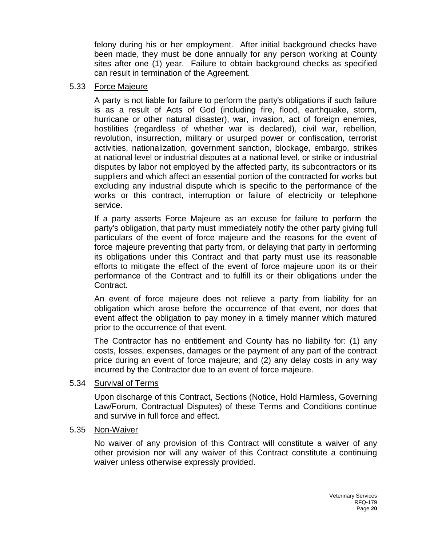felony during his or her employment. After initial background checks have been made, they must be done annually for any person working at County sites after one (1) year. Failure to obtain background checks as specified can result in termination of the Agreement.

### 5.33 Force Majeure

A party is not liable for failure to perform the party's obligations if such failure is as a result of Acts of God (including fire, flood, earthquake, storm, hurricane or other natural disaster), war, invasion, act of foreign enemies, hostilities (regardless of whether war is declared), civil war, rebellion, revolution, insurrection, military or usurped power or confiscation, terrorist activities, nationalization, government sanction, blockage, embargo, strikes at national level or industrial disputes at a national level, or strike or industrial disputes by labor not employed by the affected party, its subcontractors or its suppliers and which affect an essential portion of the contracted for works but excluding any industrial dispute which is specific to the performance of the works or this contract, interruption or failure of electricity or telephone service.

If a party asserts Force Majeure as an excuse for failure to perform the party's obligation, that party must immediately notify the other party giving full particulars of the event of force majeure and the reasons for the event of force majeure preventing that party from, or delaying that party in performing its obligations under this Contract and that party must use its reasonable efforts to mitigate the effect of the event of force majeure upon its or their performance of the Contract and to fulfill its or their obligations under the Contract.

An event of force majeure does not relieve a party from liability for an obligation which arose before the occurrence of that event, nor does that event affect the obligation to pay money in a timely manner which matured prior to the occurrence of that event.

The Contractor has no entitlement and County has no liability for: (1) any costs, losses, expenses, damages or the payment of any part of the contract price during an event of force majeure; and (2) any delay costs in any way incurred by the Contractor due to an event of force majeure.

### 5.34 Survival of Terms

Upon discharge of this Contract, Sections (Notice, Hold Harmless, Governing Law/Forum, Contractual Disputes) of these Terms and Conditions continue and survive in full force and effect.

### 5.35 Non-Waiver

No waiver of any provision of this Contract will constitute a waiver of any other provision nor will any waiver of this Contract constitute a continuing waiver unless otherwise expressly provided.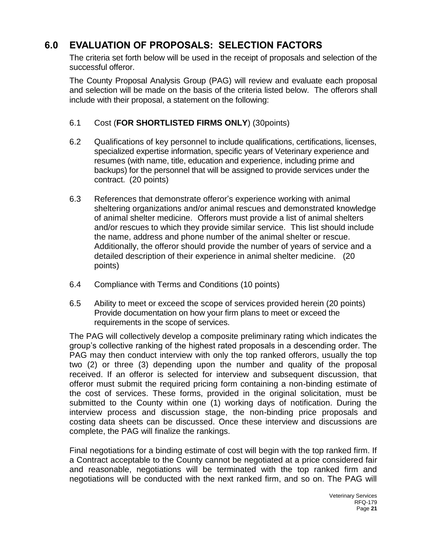### **6.0 EVALUATION OF PROPOSALS: SELECTION FACTORS**

The criteria set forth below will be used in the receipt of proposals and selection of the successful offeror.

The County Proposal Analysis Group (PAG) will review and evaluate each proposal and selection will be made on the basis of the criteria listed below. The offerors shall include with their proposal, a statement on the following:

### 6.1 Cost (**FOR SHORTLISTED FIRMS ONLY**) (30points)

- 6.2 Qualifications of key personnel to include qualifications, certifications, licenses, specialized expertise information, specific years of Veterinary experience and resumes (with name, title, education and experience, including prime and backups) for the personnel that will be assigned to provide services under the contract. (20 points)
- 6.3 References that demonstrate offeror's experience working with animal sheltering organizations and/or animal rescues and demonstrated knowledge of animal shelter medicine. Offerors must provide a list of animal shelters and/or rescues to which they provide similar service. This list should include the name, address and phone number of the animal shelter or rescue. Additionally, the offeror should provide the number of years of service and a detailed description of their experience in animal shelter medicine. (20 points)
- 6.4 Compliance with Terms and Conditions (10 points)
- 6.5 Ability to meet or exceed the scope of services provided herein (20 points) Provide documentation on how your firm plans to meet or exceed the requirements in the scope of services.

The PAG will collectively develop a composite preliminary rating which indicates the group's collective ranking of the highest rated proposals in a descending order. The PAG may then conduct interview with only the top ranked offerors, usually the top two (2) or three (3) depending upon the number and quality of the proposal received. If an offeror is selected for interview and subsequent discussion, that offeror must submit the required pricing form containing a non-binding estimate of the cost of services. These forms, provided in the original solicitation, must be submitted to the County within one (1) working days of notification. During the interview process and discussion stage, the non-binding price proposals and costing data sheets can be discussed. Once these interview and discussions are complete, the PAG will finalize the rankings.

Final negotiations for a binding estimate of cost will begin with the top ranked firm. If a Contract acceptable to the County cannot be negotiated at a price considered fair and reasonable, negotiations will be terminated with the top ranked firm and negotiations will be conducted with the next ranked firm, and so on. The PAG will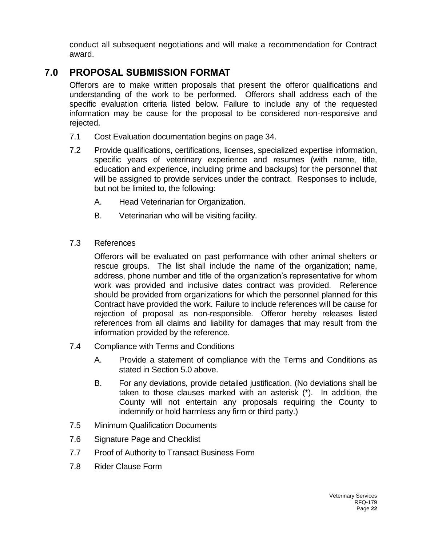conduct all subsequent negotiations and will make a recommendation for Contract award.

### **7.0 PROPOSAL SUBMISSION FORMAT**

Offerors are to make written proposals that present the offeror qualifications and understanding of the work to be performed. Offerors shall address each of the specific evaluation criteria listed below. Failure to include any of the requested information may be cause for the proposal to be considered non-responsive and rejected.

- 7.1 Cost Evaluation documentation begins on page 34.
- 7.2 Provide qualifications, certifications, licenses, specialized expertise information, specific years of veterinary experience and resumes (with name, title, education and experience, including prime and backups) for the personnel that will be assigned to provide services under the contract. Responses to include, but not be limited to, the following:
	- A. Head Veterinarian for Organization.
	- B. Veterinarian who will be visiting facility.
- 7.3 References

Offerors will be evaluated on past performance with other animal shelters or rescue groups. The list shall include the name of the organization; name, address, phone number and title of the organization's representative for whom work was provided and inclusive dates contract was provided. Reference should be provided from organizations for which the personnel planned for this Contract have provided the work. Failure to include references will be cause for rejection of proposal as non-responsible. Offeror hereby releases listed references from all claims and liability for damages that may result from the information provided by the reference.

- 7.4 Compliance with Terms and Conditions
	- A. Provide a statement of compliance with the Terms and Conditions as stated in Section 5.0 above.
	- B. For any deviations, provide detailed justification. (No deviations shall be taken to those clauses marked with an asterisk (\*). In addition, the County will not entertain any proposals requiring the County to indemnify or hold harmless any firm or third party.)
- 7.5 Minimum Qualification Documents
- 7.6 Signature Page and Checklist
- 7.7 Proof of Authority to Transact Business Form
- 7.8 Rider Clause Form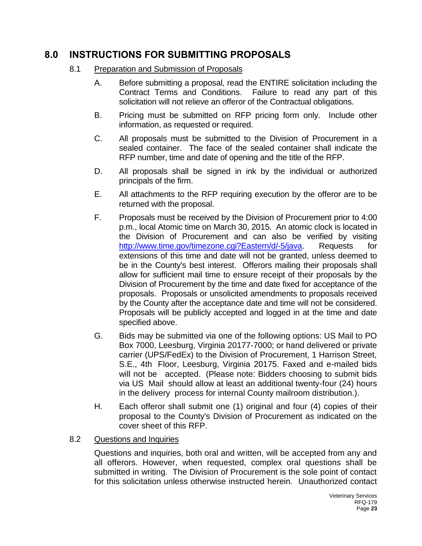### **8.0 INSTRUCTIONS FOR SUBMITTING PROPOSALS**

- 8.1 Preparation and Submission of Proposals
	- A. Before submitting a proposal, read the ENTIRE solicitation including the Contract Terms and Conditions. Failure to read any part of this solicitation will not relieve an offeror of the Contractual obligations.
	- B. Pricing must be submitted on RFP pricing form only. Include other information, as requested or required.
	- C. All proposals must be submitted to the Division of Procurement in a sealed container. The face of the sealed container shall indicate the RFP number, time and date of opening and the title of the RFP.
	- D. All proposals shall be signed in ink by the individual or authorized principals of the firm.
	- E. All attachments to the RFP requiring execution by the offeror are to be returned with the proposal.
	- F. Proposals must be received by the Division of Procurement prior to 4:00 p.m., local Atomic time on March 30, 2015. An atomic clock is located in the Division of Procurement and can also be verified by visiting [http://www.time.gov/timezone.cgi?Eastern/d/-5/java.](http://www.time.gov/timezone.cgi?Eastern/d/-5/java) Requests for extensions of this time and date will not be granted, unless deemed to be in the County's best interest. Offerors mailing their proposals shall allow for sufficient mail time to ensure receipt of their proposals by the Division of Procurement by the time and date fixed for acceptance of the proposals. Proposals or unsolicited amendments to proposals received by the County after the acceptance date and time will not be considered. Proposals will be publicly accepted and logged in at the time and date specified above.
	- G. Bids may be submitted via one of the following options: US Mail to PO Box 7000, Leesburg, Virginia 20177-7000; or hand delivered or private carrier (UPS/FedEx) to the Division of Procurement, 1 Harrison Street, S.E., 4th Floor, Leesburg, Virginia 20175. Faxed and e-mailed bids will not be accepted. (Please note: Bidders choosing to submit bids via US Mail should allow at least an additional twenty-four (24) hours in the delivery process for internal County mailroom distribution.).
	- H. Each offeror shall submit one (1) original and four (4) copies of their proposal to the County's Division of Procurement as indicated on the cover sheet of this RFP.

### 8.2 Questions and Inquiries

Questions and inquiries, both oral and written, will be accepted from any and all offerors. However, when requested, complex oral questions shall be submitted in writing. The Division of Procurement is the sole point of contact for this solicitation unless otherwise instructed herein. Unauthorized contact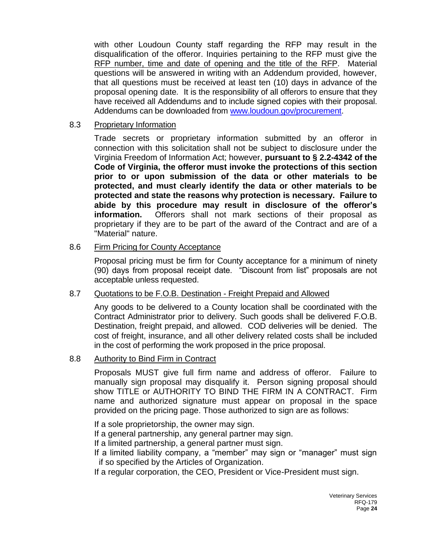with other Loudoun County staff regarding the RFP may result in the disqualification of the offeror. Inquiries pertaining to the RFP must give the RFP number, time and date of opening and the title of the RFP. Material questions will be answered in writing with an Addendum provided, however, that all questions must be received at least ten (10) days in advance of the proposal opening date*.* It is the responsibility of all offerors to ensure that they have received all Addendums and to include signed copies with their proposal. Addendums can be downloaded from [www.loudoun.gov/procurement.](http://www.loudoun.gov/procurement)

### 8.3 Proprietary Information

Trade secrets or proprietary information submitted by an offeror in connection with this solicitation shall not be subject to disclosure under the Virginia Freedom of Information Act; however, **pursuant to § 2.2-4342 of the Code of Virginia, the offeror must invoke the protections of this section prior to or upon submission of the data or other materials to be protected, and must clearly identify the data or other materials to be protected and state the reasons why protection is necessary. Failure to abide by this procedure may result in disclosure of the offeror's information.** Offerors shall not mark sections of their proposal as proprietary if they are to be part of the award of the Contract and are of a "Material" nature.

### 8.6 Firm Pricing for County Acceptance

Proposal pricing must be firm for County acceptance for a minimum of ninety (90) days from proposal receipt date. "Discount from list" proposals are not acceptable unless requested.

### 8.7 Quotations to be F.O.B. Destination - Freight Prepaid and Allowed

Any goods to be delivered to a County location shall be coordinated with the Contract Administrator prior to delivery. Such goods shall be delivered F.O.B. Destination, freight prepaid, and allowed. COD deliveries will be denied. The cost of freight, insurance, and all other delivery related costs shall be included in the cost of performing the work proposed in the price proposal.

### 8.8 Authority to Bind Firm in Contract

Proposals MUST give full firm name and address of offeror. Failure to manually sign proposal may disqualify it. Person signing proposal should show TITLE or AUTHORITY TO BIND THE FIRM IN A CONTRACT. Firm name and authorized signature must appear on proposal in the space provided on the pricing page. Those authorized to sign are as follows:

If a sole proprietorship, the owner may sign.

If a general partnership, any general partner may sign.

If a limited partnership, a general partner must sign.

If a limited liability company, a "member" may sign or "manager" must sign if so specified by the Articles of Organization.

If a regular corporation, the CEO, President or Vice-President must sign.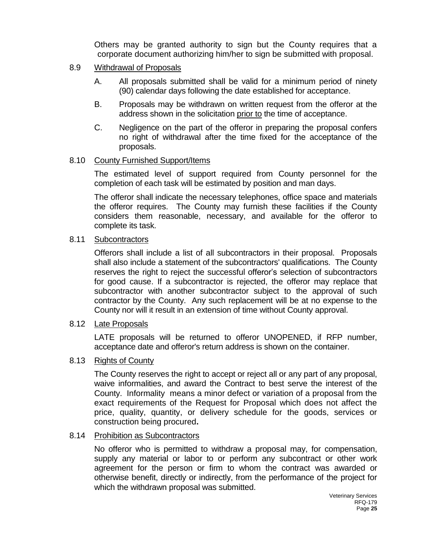Others may be granted authority to sign but the County requires that a corporate document authorizing him/her to sign be submitted with proposal.

### 8.9 Withdrawal of Proposals

- A. All proposals submitted shall be valid for a minimum period of ninety (90) calendar days following the date established for acceptance.
- B. Proposals may be withdrawn on written request from the offeror at the address shown in the solicitation prior to the time of acceptance.
- C. Negligence on the part of the offeror in preparing the proposal confers no right of withdrawal after the time fixed for the acceptance of the proposals.

### 8.10 County Furnished Support/Items

The estimated level of support required from County personnel for the completion of each task will be estimated by position and man days.

The offeror shall indicate the necessary telephones, office space and materials the offeror requires. The County may furnish these facilities if the County considers them reasonable, necessary, and available for the offeror to complete its task.

### 8.11 Subcontractors

Offerors shall include a list of all subcontractors in their proposal. Proposals shall also include a statement of the subcontractors' qualifications. The County reserves the right to reject the successful offeror's selection of subcontractors for good cause. If a subcontractor is rejected, the offeror may replace that subcontractor with another subcontractor subject to the approval of such contractor by the County. Any such replacement will be at no expense to the County nor will it result in an extension of time without County approval.

### 8.12 Late Proposals

LATE proposals will be returned to offeror UNOPENED, if RFP number, acceptance date and offeror's return address is shown on the container.

### 8.13 Rights of County

The County reserves the right to accept or reject all or any part of any proposal, waive informalities, and award the Contract to best serve the interest of the County. Informality means a minor defect or variation of a proposal from the exact requirements of the Request for Proposal which does not affect the price, quality, quantity, or delivery schedule for the goods, services or construction being procured**.** 

### 8.14 Prohibition as Subcontractors

No offeror who is permitted to withdraw a proposal may, for compensation, supply any material or labor to or perform any subcontract or other work agreement for the person or firm to whom the contract was awarded or otherwise benefit, directly or indirectly, from the performance of the project for which the withdrawn proposal was submitted.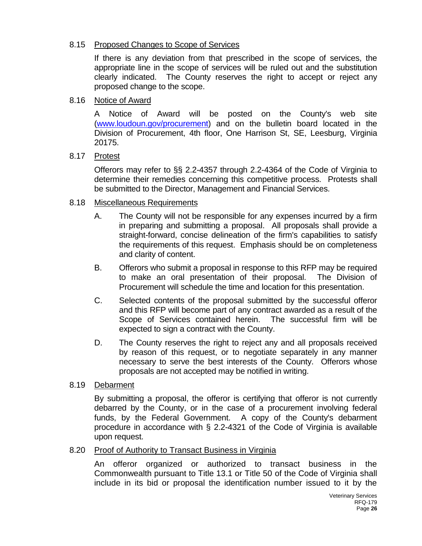### 8.15 Proposed Changes to Scope of Services

If there is any deviation from that prescribed in the scope of services, the appropriate line in the scope of services will be ruled out and the substitution clearly indicated. The County reserves the right to accept or reject any proposed change to the scope.

### 8.16 Notice of Award

A Notice of Award will be posted on the County's web site [\(www.loudoun.gov/procurement\)](http://www.loudoun.gov/procurement) and on the bulletin board located in the Division of Procurement, 4th floor, One Harrison St, SE, Leesburg, Virginia 20175.

### 8.17 Protest

Offerors may refer to §§ 2.2-4357 through 2.2-4364 of the Code of Virginia to determine their remedies concerning this competitive process. Protests shall be submitted to the Director, Management and Financial Services.

### 8.18 Miscellaneous Requirements

- A. The County will not be responsible for any expenses incurred by a firm in preparing and submitting a proposal. All proposals shall provide a straight-forward, concise delineation of the firm's capabilities to satisfy the requirements of this request. Emphasis should be on completeness and clarity of content.
- B. Offerors who submit a proposal in response to this RFP may be required to make an oral presentation of their proposal. The Division of Procurement will schedule the time and location for this presentation.
- C. Selected contents of the proposal submitted by the successful offeror and this RFP will become part of any contract awarded as a result of the Scope of Services contained herein. The successful firm will be expected to sign a contract with the County.
- D. The County reserves the right to reject any and all proposals received by reason of this request, or to negotiate separately in any manner necessary to serve the best interests of the County. Offerors whose proposals are not accepted may be notified in writing.

### 8.19 Debarment

By submitting a proposal, the offeror is certifying that offeror is not currently debarred by the County, or in the case of a procurement involving federal funds, by the Federal Government. A copy of the County's debarment procedure in accordance with § 2.2-4321 of the Code of Virginia is available upon request.

### 8.20 Proof of Authority to Transact Business in Virginia

An offeror organized or authorized to transact business in the Commonwealth pursuant to Title 13.1 or Title 50 of the Code of Virginia shall include in its bid or proposal the identification number issued to it by the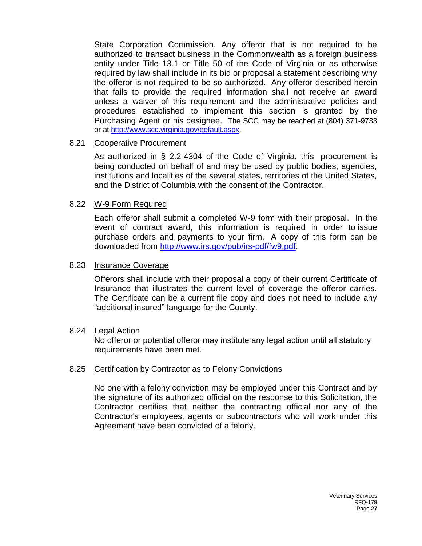State Corporation Commission. Any offeror that is not required to be authorized to transact business in the Commonwealth as a foreign business entity under Title 13.1 or Title 50 of the Code of Virginia or as otherwise required by law shall include in its bid or proposal a statement describing why the offeror is not required to be so authorized. Any offeror described herein that fails to provide the required information shall not receive an award unless a waiver of this requirement and the administrative policies and procedures established to implement this section is granted by the Purchasing Agent or his designee. The SCC may be reached at (804) 371-9733 or at [http://www.scc.virginia.gov/default.aspx.](http://www.scc.virginia.gov/default.aspx)

### 8.21 Cooperative Procurement

As authorized in § 2.2-4304 of the Code of Virginia, this procurement is being conducted on behalf of and may be used by public bodies, agencies, institutions and localities of the several states, territories of the United States, and the District of Columbia with the consent of the Contractor.

### 8.22 W-9 Form Required

Each offeror shall submit a completed W-9 form with their proposal. In the event of contract award, this information is required in order to issue purchase orders and payments to your firm. A copy of this form can be downloaded from [http://www.irs.gov/pub/irs-pdf/fw9.pdf.](http://www.irs.gov/pub/irs-pdf/fw9.pdf)

### 8.23 Insurance Coverage

Offerors shall include with their proposal a copy of their current Certificate of Insurance that illustrates the current level of coverage the offeror carries. The Certificate can be a current file copy and does not need to include any "additional insured" language for the County.

### 8.24 Legal Action

No offeror or potential offeror may institute any legal action until all statutory requirements have been met.

### 8.25 Certification by Contractor as to Felony Convictions

No one with a felony conviction may be employed under this Contract and by the signature of its authorized official on the response to this Solicitation, the Contractor certifies that neither the contracting official nor any of the Contractor's employees, agents or subcontractors who will work under this Agreement have been convicted of a felony.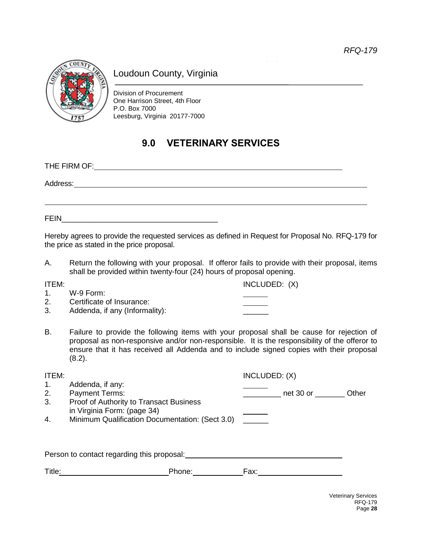

### Loudoun County, Virginia

Division of Procurement One Harrison Street, 4th Floor P.O. Box 7000 Leesburg, Virginia 20177-7000

### **9.0 VETERINARY SERVICES**

THE FIRM OF: Address: FEIN\_\_\_\_\_\_\_\_\_\_\_\_\_\_\_\_\_\_\_\_\_\_\_\_\_\_\_\_\_\_\_\_\_\_\_\_\_\_

Hereby agrees to provide the requested services as defined in Request for Proposal No. RFQ-179 for the price as stated in the price proposal.

A. Return the following with your proposal. If offeror fails to provide with their proposal, items shall be provided within twenty-four (24) hours of proposal opening.

ITEM: ITEM: INCLUDED: (X)

- 1. W-9 Form: 2. Certificate of Insurance:
- 3. Addenda, if any (Informality):
- B. Failure to provide the following items with your proposal shall be cause for rejection of proposal as non-responsive and/or non-responsible. It is the responsibility of the offeror to ensure that it has received all Addenda and to include signed copies with their proposal (8.2).

| ITEM:  |                                                                        | INCLUDED: (X)      |
|--------|------------------------------------------------------------------------|--------------------|
| 1.     | Addenda, if any:                                                       |                    |
| 2.     | <b>Payment Terms:</b>                                                  | net 30 or<br>Other |
| 3.     | Proof of Authority to Transact Business<br>in Virginia Form: (page 34) |                    |
| 4.     | Minimum Qualification Documentation: (Sect 3.0)                        |                    |
|        |                                                                        |                    |
|        |                                                                        |                    |
|        | Person to contact regarding this proposal:                             |                    |
| Title: | Phone:                                                                 | Fax:               |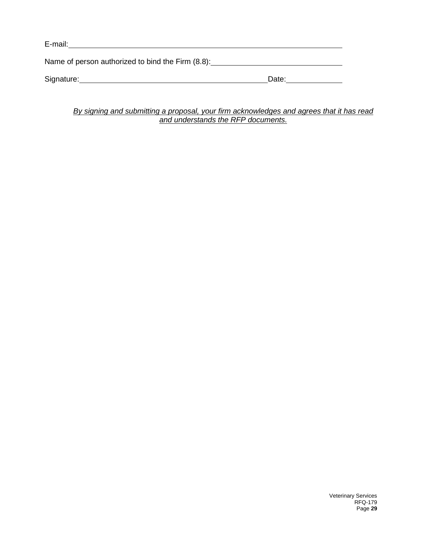E-mail:

Name of person authorized to bind the Firm (8.8):<br>
<u>Name of person authorized to bind the Firm (8.8):</u>

Signature: Date: Discovery Management Contract of the Date:

*By signing and submitting a proposal, your firm acknowledges and agrees that it has read and understands the RFP documents.*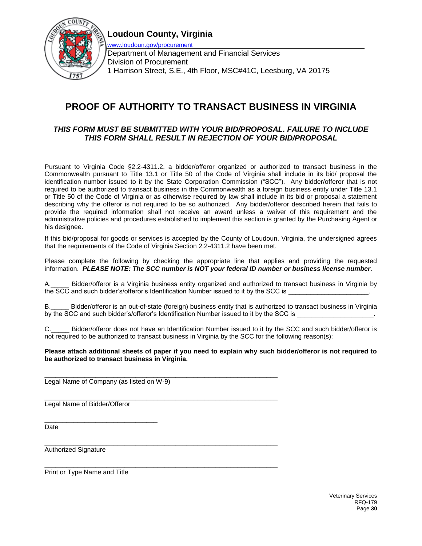



[www.loudoun.gov/procurement](http://www.loudoun.gov/procurement) Department of Management and Financial Services Division of Procurement 1 Harrison Street, S.E., 4th Floor, MSC#41C, Leesburg, VA 20175

### **PROOF OF AUTHORITY TO TRANSACT BUSINESS IN VIRGINIA**

### *THIS FORM MUST BE SUBMITTED WITH YOUR BID/PROPOSAL. FAILURE TO INCLUDE THIS FORM SHALL RESULT IN REJECTION OF YOUR BID/PROPOSAL*

Pursuant to Virginia Code §2.2-4311.2, a bidder/offeror organized or authorized to transact business in the Commonwealth pursuant to Title 13.1 or Title 50 of the Code of Virginia shall include in its bid/ proposal the identification number issued to it by the State Corporation Commission ("SCC"). Any bidder/offeror that is not required to be authorized to transact business in the Commonwealth as a foreign business entity under Title 13.1 or Title 50 of the Code of Virginia or as otherwise required by law shall include in its bid or proposal a statement describing why the offeror is not required to be so authorized. Any bidder/offeror described herein that fails to provide the required information shall not receive an award unless a waiver of this requirement and the administrative policies and procedures established to implement this section is granted by the Purchasing Agent or his designee.

If this bid/proposal for goods or services is accepted by the County of Loudoun, Virginia, the undersigned agrees that the requirements of the Code of Virginia Section 2.2-4311.2 have been met.

Please complete the following by checking the appropriate line that applies and providing the requested information. *PLEASE NOTE: The SCC number is NOT your federal ID number or business license number.*

Bidder/offeror is a Virginia business entity organized and authorized to transact business in Virginia by the SCC and such bidder's/offeror's Identification Number issued to it by the SCC is

B.\_\_\_\_\_ Bidder/offeror is an out-of-state (foreign) business entity that is authorized to transact business in Virginia by the SCC and such bidder's/offeror's Identification Number issued to it by the SCC is \_

C.\_\_\_\_\_ Bidder/offeror does not have an Identification Number issued to it by the SCC and such bidder/offeror is not required to be authorized to transact business in Virginia by the SCC for the following reason(s):

#### **Please attach additional sheets of paper if you need to explain why such bidder/offeror is not required to be authorized to transact business in Virginia.**

\_\_\_\_\_\_\_\_\_\_\_\_\_\_\_\_\_\_\_\_\_\_\_\_\_\_\_\_\_\_\_\_\_\_\_\_\_\_\_\_\_\_\_\_\_\_\_\_\_\_\_\_\_\_\_\_\_\_\_\_\_\_\_\_ Legal Name of Company (as listed on W-9)

\_\_\_\_\_\_\_\_\_\_\_\_\_\_\_\_\_\_\_\_\_\_\_\_\_\_\_\_\_\_\_\_\_\_\_\_\_\_\_\_\_\_\_\_\_\_\_\_\_\_\_\_\_\_\_\_\_\_\_\_\_\_\_\_

\_\_\_\_\_\_\_\_\_\_\_\_\_\_\_\_\_\_\_\_\_\_\_\_\_\_\_\_\_\_\_\_\_\_\_\_\_\_\_\_\_\_\_\_\_\_\_\_\_\_\_\_\_\_\_\_\_\_\_\_\_\_\_\_ Legal Name of Bidder/Offeror

\_\_\_\_\_\_\_\_\_\_\_\_\_\_\_\_\_\_\_\_\_\_\_\_\_\_\_\_\_\_\_ Date

Authorized Signature

\_\_\_\_\_\_\_\_\_\_\_\_\_\_\_\_\_\_\_\_\_\_\_\_\_\_\_\_\_\_\_\_\_\_\_\_\_\_\_\_\_\_\_\_\_\_\_\_\_\_\_\_\_\_\_\_\_\_\_\_\_\_\_\_ Print or Type Name and Title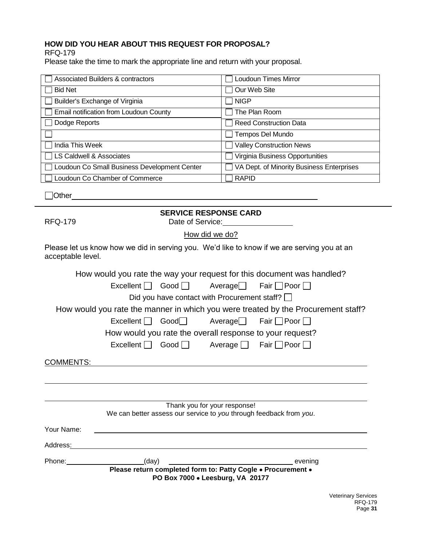### **HOW DID YOU HEAR ABOUT THIS REQUEST FOR PROPOSAL?**

RFQ-179

Please take the time to mark the appropriate line and return with your proposal.

| Associated Builders & contractors            | Loudoun Times Mirror                      |
|----------------------------------------------|-------------------------------------------|
| <b>Bid Net</b>                               | Our Web Site                              |
| Builder's Exchange of Virginia               | l INIGP                                   |
| Email notification from Loudoun County       | The Plan Room                             |
| Dodge Reports                                | Reed Construction Data                    |
|                                              | Tempos Del Mundo                          |
| India This Week                              | Valley Construction News                  |
| LS Caldwell & Associates                     | Virginia Business Opportunities           |
| Loudoun Co Small Business Development Center | VA Dept. of Minority Business Enterprises |
| Loudoun Co Chamber of Commerce               | <b>RAPID</b>                              |

□Other

**SERVICE RESPONSE CARD**

RFQ-179 Date of Service:

How did we do?

Please let us know how we did in serving you. We'd like to know if we are serving you at an acceptable level.

|                                                                                                                                                                                                                                |                                                                    |                                  | How would you rate the way your request for this document was handled?            |
|--------------------------------------------------------------------------------------------------------------------------------------------------------------------------------------------------------------------------------|--------------------------------------------------------------------|----------------------------------|-----------------------------------------------------------------------------------|
|                                                                                                                                                                                                                                |                                                                    |                                  |                                                                                   |
|                                                                                                                                                                                                                                | Did you have contact with Procurement staff? $\Box$                |                                  |                                                                                   |
|                                                                                                                                                                                                                                |                                                                    |                                  | How would you rate the manner in which you were treated by the Procurement staff? |
|                                                                                                                                                                                                                                | Excellent Good Average Fair Poor                                   |                                  |                                                                                   |
|                                                                                                                                                                                                                                | How would you rate the overall response to your request?           |                                  |                                                                                   |
|                                                                                                                                                                                                                                | Excellent Good Average Fair Poor                                   |                                  |                                                                                   |
| COMMENTS:                                                                                                                                                                                                                      |                                                                    |                                  |                                                                                   |
|                                                                                                                                                                                                                                |                                                                    |                                  |                                                                                   |
|                                                                                                                                                                                                                                |                                                                    |                                  |                                                                                   |
|                                                                                                                                                                                                                                |                                                                    | Thank you for your response!     |                                                                                   |
|                                                                                                                                                                                                                                | We can better assess our service to you through feedback from you. |                                  |                                                                                   |
| Your Name:                                                                                                                                                                                                                     |                                                                    |                                  |                                                                                   |
| Address:                                                                                                                                                                                                                       |                                                                    |                                  |                                                                                   |
| Phone: New York Changes and Changes and Changes and Changes and Changes and Changes and Changes and Changes and Changes and Changes and Changes and Changes and Changes and Changes and Changes and Changes and Changes and Ch | (day)                                                              |                                  | evening                                                                           |
|                                                                                                                                                                                                                                | Please return completed form to: Patty Cogle . Procurement .       | PO Box 7000 . Leesburg, VA 20177 |                                                                                   |
|                                                                                                                                                                                                                                |                                                                    |                                  |                                                                                   |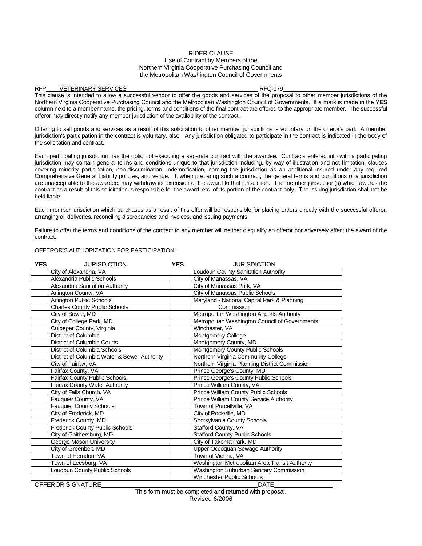#### RIDER CLAUSE Use of Contract by Members of the Northern Virginia Cooperative Purchasing Council and the Metropolitan Washington Council of Governments

#### RFP VETERINARY SERVICES RFQ-179

This clause is intended to allow a successful vendor to offer the goods and services of the proposal to other member jurisdictions of the Northern Virginia Cooperative Purchasing Council and the Metropolitan Washington Council of Governments. If a mark is made in the **YES**  column next to a member name, the pricing, terms and conditions of the final contract are offered to the appropriate member. The successful offeror may directly notify any member jurisdiction of the availability of the contract.

Offering to sell goods and services as a result of this solicitation to other member jurisdictions is voluntary on the offeror's part. A member jurisdiction's participation in the contract is voluntary, also. Any jurisdiction obligated to participate in the contract is indicated in the body of the solicitation and contract.

Each participating jurisdiction has the option of executing a separate contract with the awardee. Contracts entered into with a participating jurisdiction may contain general terms and conditions unique to that jurisdiction including, by way of illustration and not limitation, clauses covering minority participation, non-discrimination, indemnification, naming the jurisdiction as an additional insured under any required Comprehensive General Liability policies, and venue. If, when preparing such a contract, the general terms and conditions of a jurisdiction are unacceptable to the awardee, may withdraw its extension of the award to that jurisdiction. The member jurisdiction(s) which awards the contract as a result of this solicitation is responsible for the award, etc. of its portion of the contract only. The issuing jurisdiction shall not be held liable

Each member jurisdiction which purchases as a result of this offer will be responsible for placing orders directly with the successful offeror, arranging all deliveries, reconciling discrepancies and invoices, and issuing payments.

Failure to offer the terms and conditions of the contract to any member will neither disqualify an offeror nor adversely affect the award of the contract.

#### OFFEROR'S AUTHORIZATION FOR PARTICIPATION:

| <b>YES</b> | <b>JURISDICTION</b>                          | <b>YES</b> | <b>JURISDICTION</b>                            |
|------------|----------------------------------------------|------------|------------------------------------------------|
|            | City of Alexandria, VA                       |            | Loudoun County Sanitation Authority            |
|            | Alexandria Public Schools                    |            | City of Manassas, VA                           |
|            | Alexandria Sanitation Authority              |            | City of Manassas Park, VA                      |
|            | Arlington County, VA                         |            | City of Manassas Public Schools                |
|            | Arlington Public Schools                     |            | Maryland - National Capital Park & Planning    |
|            | <b>Charles County Public Schools</b>         |            | Commission                                     |
|            | City of Bowie, MD                            |            | Metropolitan Washington Airports Authority     |
|            | City of College Park, MD                     |            | Metropolitan Washington Council of Governments |
|            | Culpeper County, Virginia                    |            | Winchester, VA                                 |
|            | District of Columbia                         |            | <b>Montgomery College</b>                      |
|            | District of Columbia Courts                  |            | Montgomery County, MD                          |
|            | District of Columbia Schools                 |            | Montgomery County Public Schools               |
|            | District of Columbia Water & Sewer Authority |            | Northern Virginia Community College            |
|            | City of Fairfax, VA                          |            | Northern Virginia Planning District Commission |
|            | Fairfax County, VA                           |            | Prince George's County, MD                     |
|            | Fairfax County Public Schools                |            | Prince George's County Public Schools          |
|            | Fairfax County Water Authority               |            | Prince William County, VA                      |
|            | City of Falls Church, VA                     |            | Prince William County Public Schools           |
|            | Fauquier County, VA                          |            | Prince William County Service Authority        |
|            | <b>Fauquier County Schools</b>               |            | Town of Purcellville, VA                       |
|            | City of Frederick, MD                        |            | City of Rockville, MD                          |
|            | Frederick County, MD                         |            | Spotsylvania County Schools                    |
|            | <b>Frederick County Public Schools</b>       |            | Stafford County, VA                            |
|            | City of Gaithersburg, MD                     |            | <b>Stafford County Public Schools</b>          |
|            | George Mason University                      |            | City of Takoma Park, MD                        |
|            | City of Greenbelt, MD                        |            | Upper Occoquan Sewage Authority                |
|            | Town of Herndon, VA                          |            | Town of Vienna, VA                             |
|            | Town of Leesburg, VA                         |            | Washington Metropolitan Area Transit Authority |
|            | Loudoun County Public Schools                |            | Washington Suburban Sanitary Commission        |
|            |                                              |            | <b>Winchester Public Schools</b>               |
|            | OFFEROR SIGNATURE                            |            | <b>DATE</b>                                    |

This form must be completed and returned with proposal. Revised 6/2006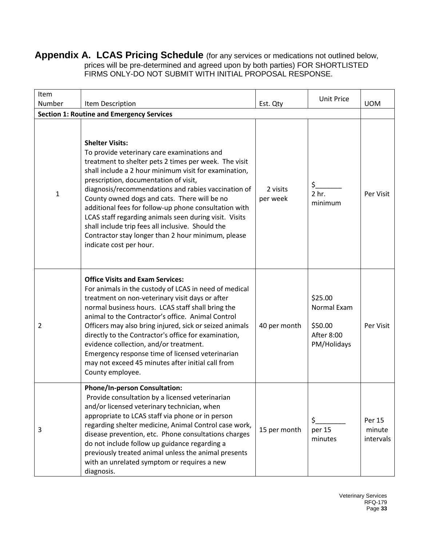**Appendix A. LCAS Pricing Schedule** (for any services or medications not outlined below, prices will be pre-determined and agreed upon by both parties) FOR SHORTLISTED FIRMS ONLY-DO NOT SUBMIT WITH INITIAL PROPOSAL RESPONSE.

| Item<br>Number                                   | Item Description                                                                                                                                                                                                                                                                                                                                                                                                                                                                                                                                                                                 | Est. Qty             | <b>Unit Price</b>                                              | <b>UOM</b>                    |  |  |
|--------------------------------------------------|--------------------------------------------------------------------------------------------------------------------------------------------------------------------------------------------------------------------------------------------------------------------------------------------------------------------------------------------------------------------------------------------------------------------------------------------------------------------------------------------------------------------------------------------------------------------------------------------------|----------------------|----------------------------------------------------------------|-------------------------------|--|--|
| <b>Section 1: Routine and Emergency Services</b> |                                                                                                                                                                                                                                                                                                                                                                                                                                                                                                                                                                                                  |                      |                                                                |                               |  |  |
| 1                                                | <b>Shelter Visits:</b><br>To provide veterinary care examinations and<br>treatment to shelter pets 2 times per week. The visit<br>shall include a 2 hour minimum visit for examination,<br>prescription, documentation of visit,<br>diagnosis/recommendations and rabies vaccination of<br>County owned dogs and cats. There will be no<br>additional fees for follow-up phone consultation with<br>LCAS staff regarding animals seen during visit. Visits<br>shall include trip fees all inclusive. Should the<br>Contractor stay longer than 2 hour minimum, please<br>indicate cost per hour. | 2 visits<br>per week | \$<br>2 <sub>hr.</sub><br>minimum                              | Per Visit                     |  |  |
| 2                                                | <b>Office Visits and Exam Services:</b><br>For animals in the custody of LCAS in need of medical<br>treatment on non-veterinary visit days or after<br>normal business hours. LCAS staff shall bring the<br>animal to the Contractor's office. Animal Control<br>Officers may also bring injured, sick or seized animals<br>directly to the Contractor's office for examination,<br>evidence collection, and/or treatment.<br>Emergency response time of licensed veterinarian<br>may not exceed 45 minutes after initial call from<br>County employee.                                          | 40 per month         | \$25.00<br>Normal Exam<br>\$50.00<br>After 8:00<br>PM/Holidays | Per Visit                     |  |  |
| 3                                                | <b>Phone/In-person Consultation:</b><br>Provide consultation by a licensed veterinarian<br>and/or licensed veterinary technician, when<br>appropriate to LCAS staff via phone or in person<br>regarding shelter medicine, Animal Control case work,<br>disease prevention, etc. Phone consultations charges<br>do not include follow up guidance regarding a<br>previously treated animal unless the animal presents<br>with an unrelated symptom or requires a new<br>diagnosis.                                                                                                                | 15 per month         | $\zeta$<br>per 15<br>minutes                                   | Per 15<br>minute<br>intervals |  |  |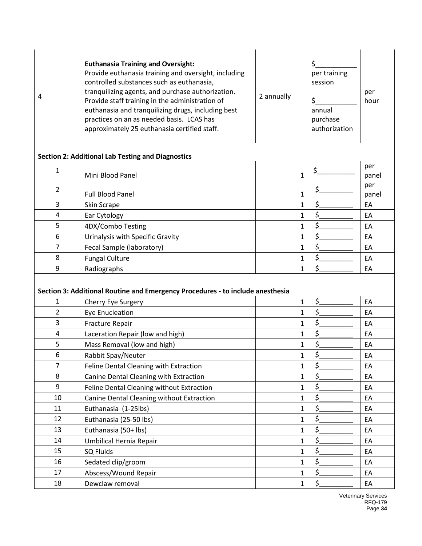| 4              | <b>Euthanasia Training and Oversight:</b><br>Provide euthanasia training and oversight, including<br>controlled substances such as euthanasia,<br>tranquilizing agents, and purchase authorization.<br>Provide staff training in the administration of<br>euthanasia and tranquilizing drugs, including best<br>practices on an as needed basis. LCAS has<br>approximately 25 euthanasia certified staff. | 2 annually   | \$<br>per training<br>session<br>\$.<br>annual<br>purchase<br>authorization | per<br>hour  |
|----------------|-----------------------------------------------------------------------------------------------------------------------------------------------------------------------------------------------------------------------------------------------------------------------------------------------------------------------------------------------------------------------------------------------------------|--------------|-----------------------------------------------------------------------------|--------------|
|                | <b>Section 2: Additional Lab Testing and Diagnostics</b>                                                                                                                                                                                                                                                                                                                                                  |              |                                                                             |              |
| 1              | Mini Blood Panel                                                                                                                                                                                                                                                                                                                                                                                          | $\mathbf{1}$ | \$.                                                                         | per<br>panel |
| $\overline{2}$ | <b>Full Blood Panel</b>                                                                                                                                                                                                                                                                                                                                                                                   | $\mathbf{1}$ | \$.                                                                         | per<br>panel |
| 3              | Skin Scrape                                                                                                                                                                                                                                                                                                                                                                                               | 1            | \$.                                                                         | EA           |
| 4              | Ear Cytology                                                                                                                                                                                                                                                                                                                                                                                              | $\mathbf{1}$ | \$                                                                          | EA           |
| 5              | 4DX/Combo Testing                                                                                                                                                                                                                                                                                                                                                                                         | $\mathbf{1}$ | \$                                                                          | EA           |
| 6              | Urinalysis with Specific Gravity                                                                                                                                                                                                                                                                                                                                                                          | $\mathbf{1}$ |                                                                             | EA           |
| 7              | Fecal Sample (laboratory)                                                                                                                                                                                                                                                                                                                                                                                 | $\mathbf{1}$ | \$                                                                          | EA           |
| 8              | <b>Fungal Culture</b>                                                                                                                                                                                                                                                                                                                                                                                     | $\mathbf{1}$ |                                                                             | EA           |
| 9              | Radiographs                                                                                                                                                                                                                                                                                                                                                                                               | $\mathbf{1}$ | \$                                                                          | EA           |
|                | Section 3: Additional Routine and Emergency Procedures - to include anesthesia                                                                                                                                                                                                                                                                                                                            |              |                                                                             |              |
| 1              | Cherry Eye Surgery                                                                                                                                                                                                                                                                                                                                                                                        | $\mathbf{1}$ | \$_                                                                         | EA           |
| 2              | <b>Eye Enucleation</b>                                                                                                                                                                                                                                                                                                                                                                                    | $\mathbf{1}$ | \$                                                                          | EA           |
| 3              | Fracture Repair                                                                                                                                                                                                                                                                                                                                                                                           | $\mathbf{1}$ |                                                                             | EA           |
| 4              | Laceration Repair (low and high)                                                                                                                                                                                                                                                                                                                                                                          | $\mathbf{1}$ | \$.                                                                         | EA           |
| 5              | Mass Removal (low and high)                                                                                                                                                                                                                                                                                                                                                                               | $\mathbf{1}$ | \$.                                                                         | EA           |
| 6              | Rabbit Spay/Neuter                                                                                                                                                                                                                                                                                                                                                                                        | $\mathbf 1$  | \$_                                                                         | EA           |
| 7              | Feline Dental Cleaning with Extraction                                                                                                                                                                                                                                                                                                                                                                    | $\mathbf{1}$ | $\zeta$                                                                     | EA           |
| 8              | Canine Dental Cleaning with Extraction                                                                                                                                                                                                                                                                                                                                                                    | $\mathbf 1$  | \$.                                                                         | EA           |
| 9              | Feline Dental Cleaning without Extraction                                                                                                                                                                                                                                                                                                                                                                 | $\mathbf{1}$ | \$.                                                                         | EA           |
| 10             | Canine Dental Cleaning without Extraction                                                                                                                                                                                                                                                                                                                                                                 | $\mathbf 1$  | \$.                                                                         | EA           |
| 11             | Euthanasia (1-25lbs)                                                                                                                                                                                                                                                                                                                                                                                      | $\mathbf 1$  | \$.                                                                         | EA           |
| 12             | Euthanasia (25-50 lbs)                                                                                                                                                                                                                                                                                                                                                                                    | $\mathbf{1}$ | \$.                                                                         | EA           |
| 13             | Euthanasia (50+ lbs)                                                                                                                                                                                                                                                                                                                                                                                      | $\mathbf 1$  | \$.                                                                         | EA           |
| 14             | Umbilical Hernia Repair                                                                                                                                                                                                                                                                                                                                                                                   | $\mathbf{1}$ | $\mathsf{S}$                                                                | EA           |
| 15             | SQ Fluids                                                                                                                                                                                                                                                                                                                                                                                                 | $\mathbf{1}$ | \$.                                                                         | EA           |
| 16             | Sedated clip/groom                                                                                                                                                                                                                                                                                                                                                                                        | $\mathbf{1}$ | \$.                                                                         | EA           |
| 17             | Abscess/Wound Repair                                                                                                                                                                                                                                                                                                                                                                                      | $\mathbf{1}$ | \$.                                                                         | EA           |
| 18             | Dewclaw removal                                                                                                                                                                                                                                                                                                                                                                                           | $\mathbf{1}$ | \$.                                                                         | EA           |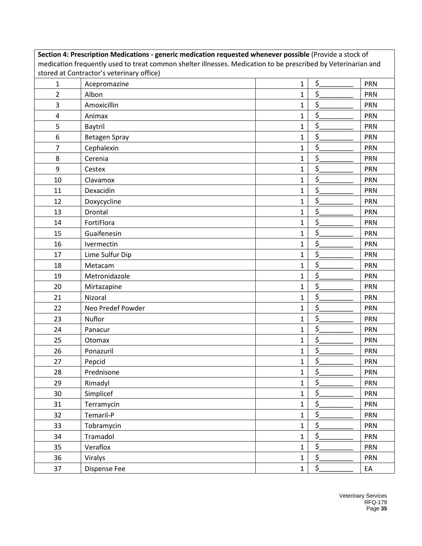| Section 4: Prescription Medications - generic medication requested whenever possible (Provide a stock of |                                                                                                               |              |                         |            |  |  |
|----------------------------------------------------------------------------------------------------------|---------------------------------------------------------------------------------------------------------------|--------------|-------------------------|------------|--|--|
|                                                                                                          | medication frequently used to treat common shelter illnesses. Medication to be prescribed by Veterinarian and |              |                         |            |  |  |
| stored at Contractor's veterinary office)                                                                |                                                                                                               |              |                         |            |  |  |
| $\mathbf{1}$                                                                                             | Acepromazine                                                                                                  | 1            | \$.                     | <b>PRN</b> |  |  |
| $\overline{2}$                                                                                           | Albon                                                                                                         | 1            | \$                      | PRN        |  |  |
| 3                                                                                                        | Amoxicillin                                                                                                   | 1            | \$                      | <b>PRN</b> |  |  |
| 4                                                                                                        | Animax                                                                                                        | 1            | \$                      | <b>PRN</b> |  |  |
| 5                                                                                                        | Baytril                                                                                                       | 1            | \$                      | PRN        |  |  |
| 6                                                                                                        | Betagen Spray                                                                                                 | 1            | \$                      | <b>PRN</b> |  |  |
| 7                                                                                                        | Cephalexin                                                                                                    | 1            | \$                      | PRN        |  |  |
| 8                                                                                                        | Cerenia                                                                                                       | $\mathbf{1}$ | \$.                     | PRN        |  |  |
| 9                                                                                                        | Cestex                                                                                                        | 1            | \$                      | <b>PRN</b> |  |  |
| 10                                                                                                       | Clavamox                                                                                                      | 1            | \$                      | <b>PRN</b> |  |  |
| 11                                                                                                       | Dexacidin                                                                                                     | 1            | \$                      | <b>PRN</b> |  |  |
| 12                                                                                                       | Doxycycline                                                                                                   | 1            | \$                      | <b>PRN</b> |  |  |
| 13                                                                                                       | <b>Drontal</b>                                                                                                | 1            | \$                      | <b>PRN</b> |  |  |
| 14                                                                                                       | FortiFlora                                                                                                    | 1            | \$.                     | PRN        |  |  |
| 15                                                                                                       | Guaifenesin                                                                                                   | $\mathbf{1}$ | \$                      | <b>PRN</b> |  |  |
| 16                                                                                                       | Ivermectin                                                                                                    | 1            | \$                      | <b>PRN</b> |  |  |
| 17                                                                                                       | Lime Sulfur Dip                                                                                               | 1            | \$                      | <b>PRN</b> |  |  |
| 18                                                                                                       | Metacam                                                                                                       | 1            | \$                      | <b>PRN</b> |  |  |
| 19                                                                                                       | Metronidazole                                                                                                 | 1            | \$                      | <b>PRN</b> |  |  |
| 20                                                                                                       | Mirtazapine                                                                                                   | $\mathbf{1}$ | \$                      | <b>PRN</b> |  |  |
| 21                                                                                                       | Nizoral                                                                                                       | 1            | \$.                     | PRN        |  |  |
| 22                                                                                                       | Neo Predef Powder                                                                                             | 1            | \$                      | PRN        |  |  |
| 23                                                                                                       | Nuflor                                                                                                        | 1            | \$                      | <b>PRN</b> |  |  |
| 24                                                                                                       | Panacur                                                                                                       | 1            | \$                      | <b>PRN</b> |  |  |
| 25                                                                                                       | Otomax                                                                                                        | 1            | \$                      | PRN        |  |  |
| 26                                                                                                       | Ponazuril                                                                                                     | 1            | \$.                     | PRN        |  |  |
| 27                                                                                                       | Pepcid                                                                                                        | $1\,$        | \$.                     | PRN        |  |  |
| 28                                                                                                       | Prednisone                                                                                                    | $\mathbf{1}$ | \$.                     | PRN        |  |  |
| 29                                                                                                       | Rimadyl                                                                                                       | $\mathbf{1}$ | \$.                     | <b>PRN</b> |  |  |
| 30                                                                                                       | Simplicef                                                                                                     | $\mathbf 1$  | \$                      | <b>PRN</b> |  |  |
| 31                                                                                                       | Terramycin                                                                                                    | $\mathbf 1$  | \$.                     | <b>PRN</b> |  |  |
| 32                                                                                                       | Temaril-P                                                                                                     | $\mathbf 1$  | \$.                     | <b>PRN</b> |  |  |
| 33                                                                                                       | Tobramycin                                                                                                    | $\mathbf{1}$ | \$.                     | <b>PRN</b> |  |  |
| 34                                                                                                       | Tramadol                                                                                                      | $\mathbf{1}$ | \$.                     | <b>PRN</b> |  |  |
| 35                                                                                                       | Veraflox                                                                                                      | $\mathbf 1$  | \$.                     | <b>PRN</b> |  |  |
| 36                                                                                                       | Viralys                                                                                                       | $\mathbf{1}$ | \$.                     | <b>PRN</b> |  |  |
| 37                                                                                                       | Dispense Fee                                                                                                  | $\mathbf{1}$ | $\overline{\mathsf{S}}$ | EA         |  |  |
|                                                                                                          |                                                                                                               |              |                         |            |  |  |